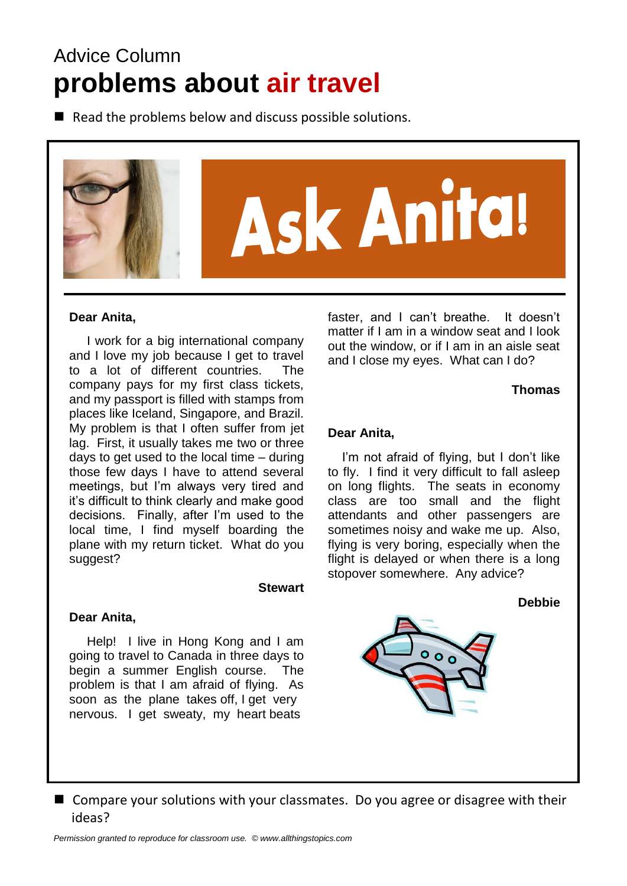# Advice Column **problems about air travel**

 $\blacksquare$  Read the problems below and discuss possible solutions.



#### **Dear Anita,**

 I work for a big international company and I love my job because I get to travel to a lot of different countries. The company pays for my first class tickets, and my passport is filled with stamps from places like Iceland, Singapore, and Brazil. My problem is that I often suffer from jet lag. First, it usually takes me two or three days to get used to the local time – during those few days I have to attend several meetings, but I'm always very tired and it's difficult to think clearly and make good decisions. Finally, after I'm used to the local time, I find myself boarding the plane with my return ticket. What do you suggest?

#### **Stewart**

#### **Dear Anita,**

 Help! I live in Hong Kong and I am going to travel to Canada in three days to begin a summer English course. The problem is that I am afraid of flying. As soon as the plane takes off, I get very nervous. I get sweaty, my heart beats

faster, and I can't breathe. It doesn't matter if I am in a window seat and I look out the window, or if I am in an aisle seat and I close my eyes. What can I do?

**Thomas**

#### **Dear Anita,**

 I'm not afraid of flying, but I don't like to fly. I find it very difficult to fall asleep on long flights. The seats in economy class are too small and the flight attendants and other passengers are sometimes noisy and wake me up. Also, flying is very boring, especially when the flight is delayed or when there is a long stopover somewhere. Any advice?

#### **Debbie**



■ Compare your solutions with your classmates. Do you agree or disagree with their ideas?